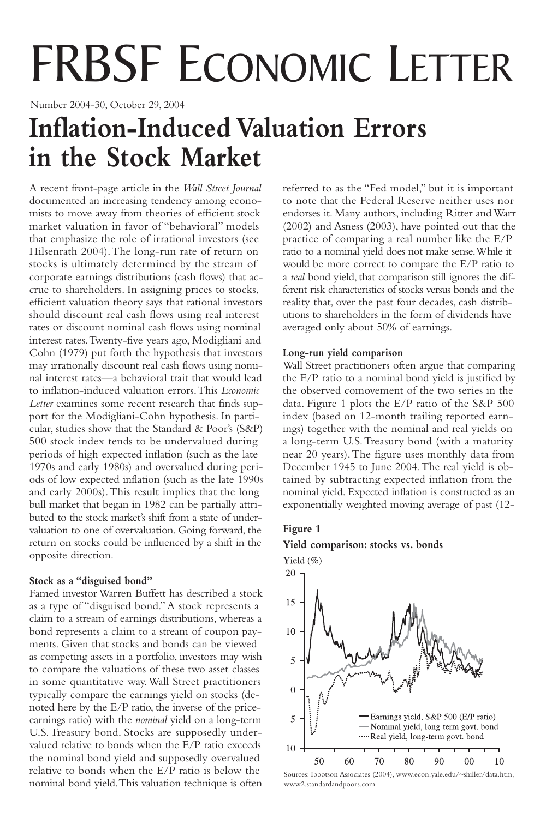# FRBSF ECONOMIC LETTER

Number 2004-30, October 29, 2004

# **Inflation-Induced Valuation Errors in the Stock Market**

A recent front-page article in the *Wall Street Journal* documented an increasing tendency among economists to move away from theories of efficient stock market valuation in favor of "behavioral" models that emphasize the role of irrational investors (see Hilsenrath 2004).The long-run rate of return on stocks is ultimately determined by the stream of corporate earnings distributions (cash flows) that accrue to shareholders. In assigning prices to stocks, efficient valuation theory says that rational investors should discount real cash flows using real interest rates or discount nominal cash flows using nominal interest rates.Twenty-five years ago, Modigliani and Cohn (1979) put forth the hypothesis that investors may irrationally discount real cash flows using nominal interest rates—a behavioral trait that would lead to inflation-induced valuation errors.This *Economic Letter* examines some recent research that finds support for the Modigliani-Cohn hypothesis. In particular, studies show that the Standard & Poor's (S&P) 500 stock index tends to be undervalued during periods of high expected inflation (such as the late 1970s and early 1980s) and overvalued during periods of low expected inflation (such as the late 1990s and early 2000s).This result implies that the long bull market that began in 1982 can be partially attributed to the stock market's shift from a state of undervaluation to one of overvaluation. Going forward, the return on stocks could be influenced by a shift in the opposite direction.

# **Stock as a "disguised bond"**

Famed investor Warren Buffett has described a stock as a type of "disguised bond." A stock represents a claim to a stream of earnings distributions, whereas a bond represents a claim to a stream of coupon payments. Given that stocks and bonds can be viewed as competing assets in a portfolio, investors may wish to compare the valuations of these two asset classes in some quantitative way.Wall Street practitioners typically compare the earnings yield on stocks (denoted here by the E/P ratio, the inverse of the priceearnings ratio) with the *nominal* yield on a long-term U.S.Treasury bond. Stocks are supposedly undervalued relative to bonds when the E/P ratio exceeds the nominal bond yield and supposedly overvalued relative to bonds when the E/P ratio is below the nominal bond yield.This valuation technique is often

referred to as the "Fed model," but it is important to note that the Federal Reserve neither uses nor endorses it. Many authors, including Ritter and Warr (2002) and Asness (2003), have pointed out that the practice of comparing a real number like the E/P ratio to a nominal yield does not make sense.While it would be more correct to compare the E/P ratio to a *real* bond yield, that comparison still ignores the different risk characteristics of stocks versus bonds and the reality that, over the past four decades, cash distributions to shareholders in the form of dividends have averaged only about 50% of earnings.

### **Long-run yield comparison**

Wall Street practitioners often argue that comparing the E/P ratio to a nominal bond yield is justified by the observed comovement of the two series in the data. Figure 1 plots the E/P ratio of the S&P 500 index (based on 12-month trailing reported earnings) together with the nominal and real yields on a long-term U.S.Treasury bond (with a maturity near 20 years).The figure uses monthly data from December 1945 to June 2004.The real yield is obtained by subtracting expected inflation from the nominal yield. Expected inflation is constructed as an exponentially weighted moving average of past (12-

# **Figure 1**

# **Yield comparison: stocks vs. bonds**



Sources: Ibbotson Associates (2004), www.econ.yale.edu/~shiller/data.htm, www2.standardandpoors.com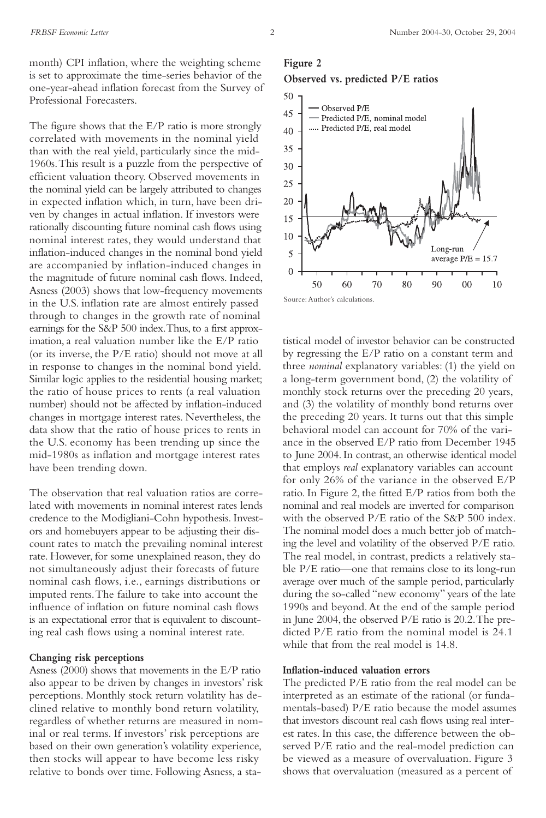month) CPI inflation, where the weighting scheme is set to approximate the time-series behavior of the one-year-ahead inflation forecast from the Survey of Professional Forecasters.

The figure shows that the E/P ratio is more strongly correlated with movements in the nominal yield than with the real yield, particularly since the mid-1960s.This result is a puzzle from the perspective of efficient valuation theory. Observed movements in the nominal yield can be largely attributed to changes in expected inflation which, in turn, have been driven by changes in actual inflation. If investors were rationally discounting future nominal cash flows using nominal interest rates, they would understand that inflation-induced changes in the nominal bond yield are accompanied by inflation-induced changes in the magnitude of future nominal cash flows. Indeed, Asness (2003) shows that low-frequency movements in the U.S. inflation rate are almost entirely passed through to changes in the growth rate of nominal earnings for the S&P 500 index.Thus, to a first approximation, a real valuation number like the E/P ratio (or its inverse, the P/E ratio) should not move at all in response to changes in the nominal bond yield. Similar logic applies to the residential housing market; the ratio of house prices to rents (a real valuation number) should not be affected by inflation-induced changes in mortgage interest rates. Nevertheless, the data show that the ratio of house prices to rents in the U.S. economy has been trending up since the mid-1980s as inflation and mortgage interest rates have been trending down.

The observation that real valuation ratios are correlated with movements in nominal interest rates lends credence to the Modigliani-Cohn hypothesis. Investors and homebuyers appear to be adjusting their discount rates to match the prevailing nominal interest rate. However, for some unexplained reason, they do not simultaneously adjust their forecasts of future nominal cash flows, i.e., earnings distributions or imputed rents.The failure to take into account the influence of inflation on future nominal cash flows is an expectational error that is equivalent to discounting real cash flows using a nominal interest rate.

#### **Changing risk perceptions**

Asness (2000) shows that movements in the E/P ratio also appear to be driven by changes in investors' risk perceptions. Monthly stock return volatility has declined relative to monthly bond return volatility, regardless of whether returns are measured in nominal or real terms. If investors' risk perceptions are based on their own generation's volatility experience, then stocks will appear to have become less risky relative to bonds over time. Following Asness, a sta-

# **Figure 2 Observed vs. predicted P/E ratios**



tistical model of investor behavior can be constructed by regressing the E/P ratio on a constant term and three *nominal* explanatory variables: (1) the yield on a long-term government bond, (2) the volatility of monthly stock returns over the preceding 20 years, and (3) the volatility of monthly bond returns over the preceding 20 years. It turns out that this simple behavioral model can account for 70% of the variance in the observed E/P ratio from December 1945 to June 2004. In contrast, an otherwise identical model that employs *real* explanatory variables can account for only 26% of the variance in the observed E/P ratio. In Figure 2, the fitted E/P ratios from both the nominal and real models are inverted for comparison with the observed P/E ratio of the S&P 500 index. The nominal model does a much better job of matching the level and volatility of the observed P/E ratio. The real model, in contrast, predicts a relatively stable P/E ratio—one that remains close to its long-run average over much of the sample period, particularly during the so-called "new economy" years of the late 1990s and beyond.At the end of the sample period in June 2004, the observed P/E ratio is 20.2.The predicted  $P/E$  ratio from the nominal model is  $24.1$ while that from the real model is 14.8.

#### **Inflation-induced valuation errors**

The predicted P/E ratio from the real model can be interpreted as an estimate of the rational (or fundamentals-based) P/E ratio because the model assumes that investors discount real cash flows using real interest rates. In this case, the difference between the observed P/E ratio and the real-model prediction can be viewed as a measure of overvaluation. Figure 3 shows that overvaluation (measured as a percent of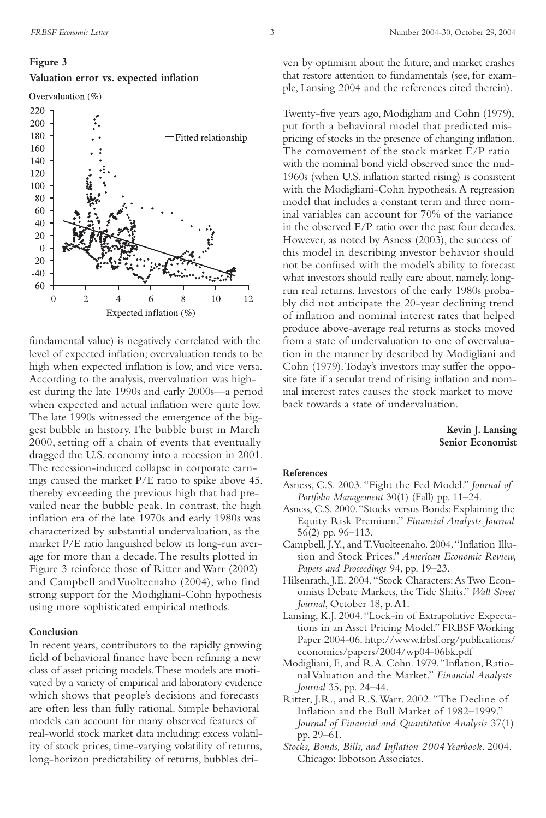#### **Figure 3**

#### **Valuation error vs. expected inflation**

Overvaluation (%)



fundamental value) is negatively correlated with the level of expected inflation; overvaluation tends to be high when expected inflation is low, and vice versa. According to the analysis, overvaluation was highest during the late 1990s and early 2000s—a period when expected and actual inflation were quite low. The late 1990s witnessed the emergence of the biggest bubble in history.The bubble burst in March 2000, setting off a chain of events that eventually dragged the U.S. economy into a recession in 2001. The recession-induced collapse in corporate earnings caused the market P/E ratio to spike above 45, thereby exceeding the previous high that had prevailed near the bubble peak. In contrast, the high inflation era of the late 1970s and early 1980s was characterized by substantial undervaluation, as the market P/E ratio languished below its long-run average for more than a decade.The results plotted in Figure 3 reinforce those of Ritter and Warr (2002) and Campbell and Vuolteenaho (2004), who find strong support for the Modigliani-Cohn hypothesis using more sophisticated empirical methods.

#### **Conclusion**

In recent years, contributors to the rapidly growing field of behavioral finance have been refining a new class of asset pricing models.These models are motivated by a variety of empirical and laboratory evidence which shows that people's decisions and forecasts are often less than fully rational. Simple behavioral models can account for many observed features of real-world stock market data including: excess volatility of stock prices, time-varying volatility of returns, long-horizon predictability of returns, bubbles driven by optimism about the future, and market crashes that restore attention to fundamentals (see, for example, Lansing 2004 and the references cited therein).

Twenty-five years ago, Modigliani and Cohn (1979), put forth a behavioral model that predicted mispricing of stocks in the presence of changing inflation. The comovement of the stock market E/P ratio with the nominal bond yield observed since the mid-1960s (when U.S. inflation started rising) is consistent with the Modigliani-Cohn hypothesis.A regression model that includes a constant term and three nominal variables can account for 70% of the variance in the observed E/P ratio over the past four decades. However, as noted by Asness (2003), the success of this model in describing investor behavior should not be confused with the model's ability to forecast what investors should really care about, namely, longrun real returns. Investors of the early 1980s probably did not anticipate the 20-year declining trend of inflation and nominal interest rates that helped produce above-average real returns as stocks moved from a state of undervaluation to one of overvaluation in the manner by described by Modigliani and Cohn (1979).Today's investors may suffer the opposite fate if a secular trend of rising inflation and nominal interest rates causes the stock market to move back towards a state of undervaluation.

#### **Kevin J. Lansing Senior Economist**

#### **References**

- Asness, C.S. 2003."Fight the Fed Model." *Journal of Portfolio Management* 30(1) (Fall) pp. 11–24.
- Asness, C.S. 2000."Stocks versus Bonds: Explaining the Equity Risk Premium." *Financial Analysts Journal* 56(2) pp. 96–113.
- Campbell, J.Y., and T.Vuolteenaho. 2004."Inflation Illusion and Stock Prices." *American Economic Review, Papers and Proceedings* 94, pp. 19–23.
- Hilsenrath, J.E. 2004. "Stock Characters: As Two Economists Debate Markets, the Tide Shifts." *Wall Street Journal*, October 18, p.A1.
- Lansing, K.J. 2004."Lock-in of Extrapolative Expectations in an Asset Pricing Model." FRBSF Working Paper 2004-06. http://www.frbsf.org/publications/ economics/papers/2004/wp04-06bk.pdf
- Modigliani, F., and R.A. Cohn. 1979."Inflation, Rational Valuation and the Market." *Financial Analysts Journal* 35, pp. 24–44.
- Ritter, J.R., and R.S.Warr. 2002. "The Decline of Inflation and the Bull Market of 1982–1999." *Journal of Financial and Quantitative Analysis* 37(1) pp. 29–61.
- *Stocks, Bonds, Bills, and Inflation 2004 Yearbook*. 2004. Chicago: Ibbotson Associates.